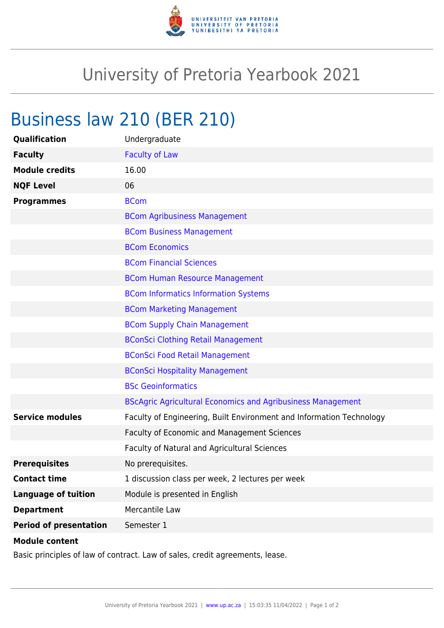

## University of Pretoria Yearbook 2021

## Business law 210 (BER 210)

| <b>Qualification</b>          | Undergraduate                                                        |
|-------------------------------|----------------------------------------------------------------------|
| <b>Faculty</b>                | <b>Faculty of Law</b>                                                |
| <b>Module credits</b>         | 16.00                                                                |
| <b>NQF Level</b>              | 06                                                                   |
| <b>Programmes</b>             | <b>BCom</b>                                                          |
|                               | <b>BCom Agribusiness Management</b>                                  |
|                               | <b>BCom Business Management</b>                                      |
|                               | <b>BCom Economics</b>                                                |
|                               | <b>BCom Financial Sciences</b>                                       |
|                               | <b>BCom Human Resource Management</b>                                |
|                               | <b>BCom Informatics Information Systems</b>                          |
|                               | <b>BCom Marketing Management</b>                                     |
|                               | <b>BCom Supply Chain Management</b>                                  |
|                               | <b>BConSci Clothing Retail Management</b>                            |
|                               | <b>BConSci Food Retail Management</b>                                |
|                               | <b>BConSci Hospitality Management</b>                                |
|                               | <b>BSc Geoinformatics</b>                                            |
|                               | <b>BScAgric Agricultural Economics and Agribusiness Management</b>   |
| <b>Service modules</b>        | Faculty of Engineering, Built Environment and Information Technology |
|                               | Faculty of Economic and Management Sciences                          |
|                               | Faculty of Natural and Agricultural Sciences                         |
| <b>Prerequisites</b>          | No prerequisites.                                                    |
| <b>Contact time</b>           | 1 discussion class per week, 2 lectures per week                     |
| <b>Language of tuition</b>    | Module is presented in English                                       |
| <b>Department</b>             | Mercantile Law                                                       |
| <b>Period of presentation</b> | Semester 1                                                           |
| <b>Module content</b>         |                                                                      |

Basic principles of law of contract. Law of sales, credit agreements, lease.